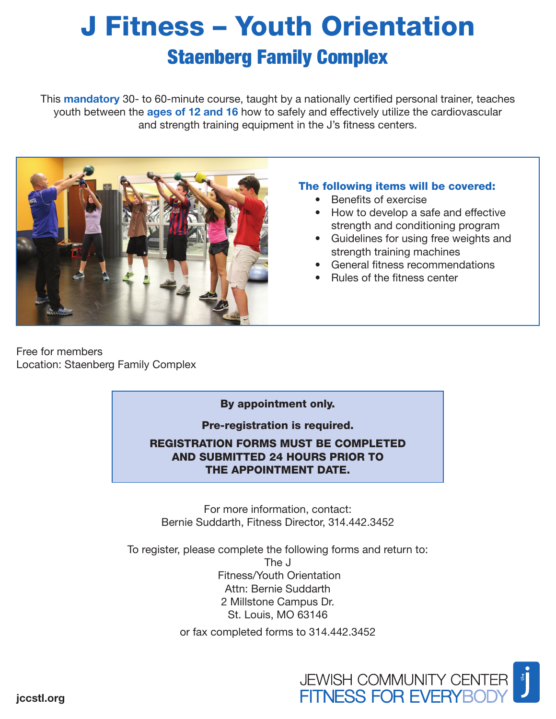# J Fitness – Youth Orientation Staenberg Family Complex

This **mandatory** 30- to 60-minute course, taught by a nationally certified personal trainer, teaches youth between the **ages of 12 and 16** how to safely and effectively utilize the cardiovascular and strength training equipment in the J's fitness centers.



### The following items will be covered:

- Benefits of exercise
- How to develop a safe and effective strength and conditioning program
- Guidelines for using free weights and strength training machines
- General fitness recommendations
- Rules of the fitness center

Free for members Location: Staenberg Family Complex

### By appointment only.

Pre-registration is required.

REGISTRATION FORMS MUST BE COMPLETED AND SUBMITTED 24 HOURS PRIOR TO THE APPOINTMENT DATE.

For more information, contact: Bernie Suddarth, Fitness Director, 314.442.3452

To register, please complete the following forms and return to:

The J Fitness/Youth Orientation Attn: Bernie Suddarth 2 Millstone Campus Dr. St. Louis, MO 63146

or fax completed forms to 314.442.3452



jccstl.org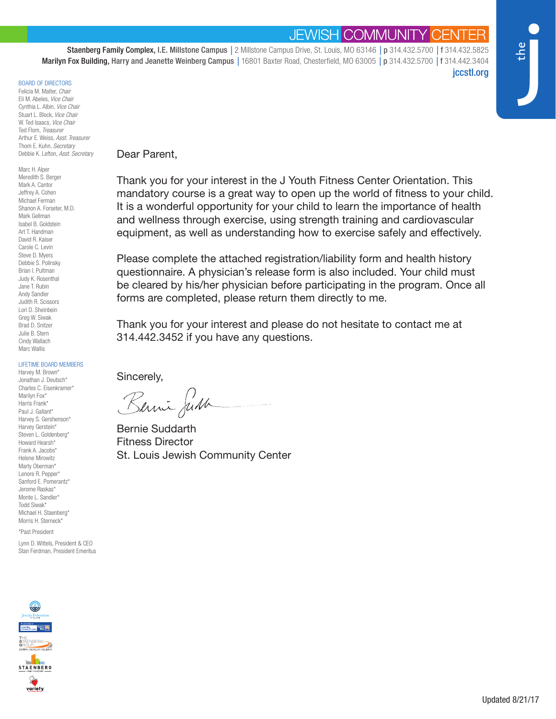## **JEWISH COMMUNITY CE**

Staenberg Family Complex, I.E. Millstone Campus *|* 2 Millstone Campus Drive, St. Louis, MO 63146 *|* p 314.432.5700 *|* f 314.432.5825 Marilyn Fox Building, Harry and Jeanette Weinberg Campus *|* 16801 Baxter Road, Chesterfield, MO 63005 *|* p 314.432.5700 *|* f 314.442.3404 jccstl.org

#### BOARD OF DIRECTORS

Felicia M. Malter, *Chair* Eli M. Abeles, *Vice Chair* Cynthia L. Albin, *Vice Chair* Stuart L. Block, *Vice Chair* W. Ted Isaacs, *Vice Chair* Ted Flom, *Treasurer* Arthur E. Weiss, *Asst. Treasurer* Thom E. Kuhn, *Secretary* Debbie K. Lefton, *Asst. Secretary*

Marc H. Alper Meredith S. Berger Mark A. Cantor Jeffrey A. Cohen Michael Ferman Shanon A. Forseter, M.D. Mark Gellman Isabel B. Goldstein Art T. Handman David R. Kaiser Carole C. Levin Steve D. Myers Debbie S. Polinsky Brian I. Pultman Judy K. Rosenthal Jane T. Rubin Andy Sandler Judith R. Scissors Lori D. Sheinbein Greg W. Siwak Brad D. Snitzer Julie B. Stern Cindy Wallach Marc Wallis

#### LIFETIME BOARD MEMBERS

Harvey M. Brown\* Jonathan J. Deutsch\* Charles C. Eisenkramer\* Marilyn Fox\* Harris Frank\* Paul J. Gallant\* Harvey S. Gershenson\* Harvey Gerstein\* Steven L. Goldenberg\* Howard Hearsh\* Frank A. Jacobs\* Helene Mirowitz Marty Oberman\* Lenore R. Pepper\* Sanford E. Pomerantz\* Jerome Raskas\* Monte L. Sandler\* Todd Siwak\* Michael H. Staenberg\* Morris H. Sterneck\*

\*Past President

Lynn D. Wittels, President & CEO Stan Ferdman, President Emeritus



Thank you for your interest in the J Youth Fitness Center Orientation. This mandatory course is a great way to open up the world of fitness to your child. It is a wonderful opportunity for your child to learn the importance of health and wellness through exercise, using strength training and cardiovascular equipment, as well as understanding how to exercise safely and effectively.

Please complete the attached registration/liability form and health history questionnaire. A physician's release form is also included. Your child must be cleared by his/her physician before participating in the program. Once all forms are completed, please return them directly to me.

Thank you for your interest and please do not hesitate to contact me at 314.442.3452 if you have any questions.

Sincerely,

Berni Just

Bernie Suddarth Fitness Director St. Louis Jewish Community Center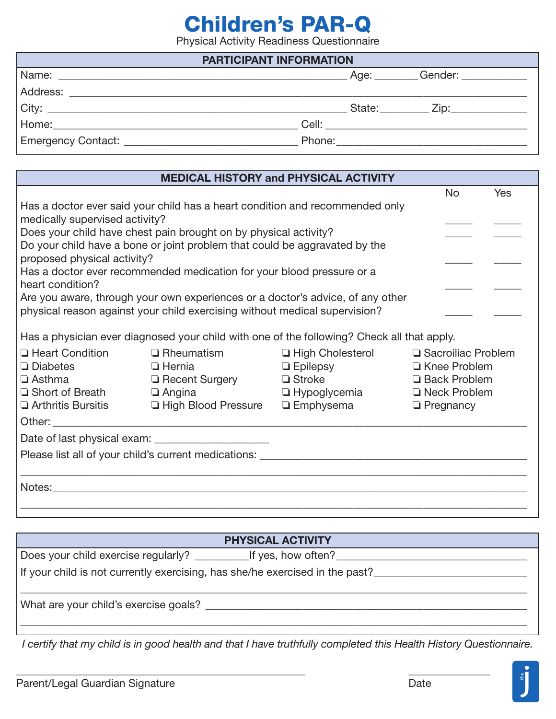# Children's PAR-Q

Physical Activity Readiness Questionnaire

| <b>PARTICIPANT INFORMATION</b> |  |  |                                              |  |  |  |
|--------------------------------|--|--|----------------------------------------------|--|--|--|
|                                |  |  | Age: Gender:                                 |  |  |  |
|                                |  |  |                                              |  |  |  |
| $City:$ $\qquad \qquad$        |  |  | State: <u>__________</u> Zip: ______________ |  |  |  |
|                                |  |  | Cell: ________________________               |  |  |  |
|                                |  |  |                                              |  |  |  |

|                                             |                                                                                            | <b>MEDICAL HISTORY and PHYSICAL ACTIVITY</b> |  |           |            |  |
|---------------------------------------------|--------------------------------------------------------------------------------------------|----------------------------------------------|--|-----------|------------|--|
|                                             |                                                                                            |                                              |  | <b>No</b> | <b>Yes</b> |  |
|                                             | Has a doctor ever said your child has a heart condition and recommended only               |                                              |  |           |            |  |
| medically supervised activity?              |                                                                                            |                                              |  |           |            |  |
|                                             | Does your child have chest pain brought on by physical activity?                           |                                              |  |           |            |  |
| proposed physical activity?                 | Do your child have a bone or joint problem that could be aggravated by the                 |                                              |  |           |            |  |
|                                             | Has a doctor ever recommended medication for your blood pressure or a                      |                                              |  |           |            |  |
| heart condition?                            |                                                                                            |                                              |  |           |            |  |
|                                             | Are you aware, through your own experiences or a doctor's advice, of any other             |                                              |  |           |            |  |
|                                             | physical reason against your child exercising without medical supervision?                 |                                              |  |           |            |  |
|                                             |                                                                                            |                                              |  |           |            |  |
|                                             | Has a physician ever diagnosed your child with one of the following? Check all that apply. |                                              |  |           |            |  |
| <b>Heart Condition</b>                      | $\Box$ Rheumatism<br>$\Box$ High Cholesterol<br>□ Sacroiliac Problem                       |                                              |  |           |            |  |
| $\Box$ Diabetes<br><b>Example 12 Hernia</b> |                                                                                            | □ Epilepsy □ Knee Problem                    |  |           |            |  |
| $\square$ Asthma                            |                                                                                            |                                              |  |           |            |  |
| $\Box$ Short of Breath $\Box$ Angina        |                                                                                            |                                              |  |           |            |  |
|                                             | $\Box$ Arthritis Bursitis $\Box$ High Blood Pressure $\Box$ Emphysema $\Box$ Pregnancy     |                                              |  |           |            |  |
|                                             |                                                                                            |                                              |  |           |            |  |
|                                             |                                                                                            |                                              |  |           |            |  |
|                                             |                                                                                            |                                              |  |           |            |  |
|                                             |                                                                                            |                                              |  |           |            |  |
|                                             |                                                                                            |                                              |  |           |            |  |
|                                             |                                                                                            |                                              |  |           |            |  |
|                                             |                                                                                            |                                              |  |           |            |  |

| PHYSICAL ACTIVITY                                                            |  |  |  |  |
|------------------------------------------------------------------------------|--|--|--|--|
|                                                                              |  |  |  |  |
| If your child is not currently exercising, has she/he exercised in the past? |  |  |  |  |
| What are your child's exercise goals?                                        |  |  |  |  |
|                                                                              |  |  |  |  |

*I certify that my child is in good health and that I have truthfully completed this Health History Questionnaire.*

\_\_\_\_\_\_\_\_\_\_\_\_\_\_\_\_\_\_\_\_\_\_\_\_\_\_\_\_\_\_\_\_\_\_\_\_\_\_\_\_\_\_\_\_\_\_\_\_\_\_\_\_\_ \_\_\_\_\_\_\_\_\_\_\_\_\_\_\_

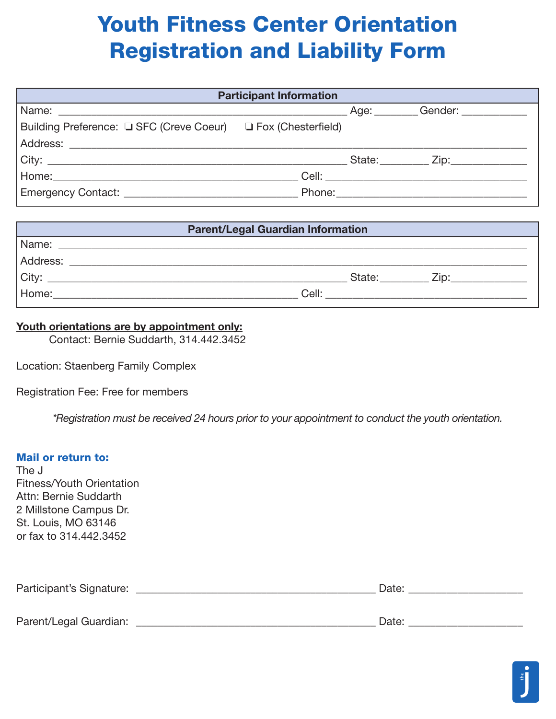# Youth Fitness Center Orientation Registration and Liability Form

| <b>Participant Information</b>                                |  |  |                                          |  |  |
|---------------------------------------------------------------|--|--|------------------------------------------|--|--|
|                                                               |  |  |                                          |  |  |
| Building Preference: □ SFC (Creve Coeur) □ Fox (Chesterfield) |  |  |                                          |  |  |
|                                                               |  |  |                                          |  |  |
|                                                               |  |  | State: <u>________</u> Zip: ____________ |  |  |
|                                                               |  |  |                                          |  |  |
|                                                               |  |  |                                          |  |  |

| <b>Parent/Legal Guardian Information</b> |                                                                                                                      |  |  |  |  |
|------------------------------------------|----------------------------------------------------------------------------------------------------------------------|--|--|--|--|
| Name:                                    | <u> 1999 - Jan James James, politik eta industrial eta industrial eta industrial eta industrial eta industrial e</u> |  |  |  |  |
| Address:                                 |                                                                                                                      |  |  |  |  |
| City:                                    | State:<br>Zip:                                                                                                       |  |  |  |  |
| Home:                                    | Cell:                                                                                                                |  |  |  |  |

#### Youth orientations are by appointment only:

Contact: Bernie Suddarth, 314.442.3452

Location: Staenberg Family Complex

Registration Fee: Free for members

*\*Registration must be received 24 hours prior to your appointment to conduct the youth orientation.*

#### Mail or return to:

The J Fitness/Youth Orientation Attn: Bernie Suddarth 2 Millstone Campus Dr. St. Louis, MO 63146 or fax to 314.442.3452

| Participant's Signature: |  |  |
|--------------------------|--|--|
|                          |  |  |

| Parent/I<br>$\blacksquare$<br>ent/I e∩al<br>audi II<br>71 J.A.I<br>$\sim$ $\sim$ $\sim$ $\sim$<br>-- | . . |
|------------------------------------------------------------------------------------------------------|-----|
|                                                                                                      |     |